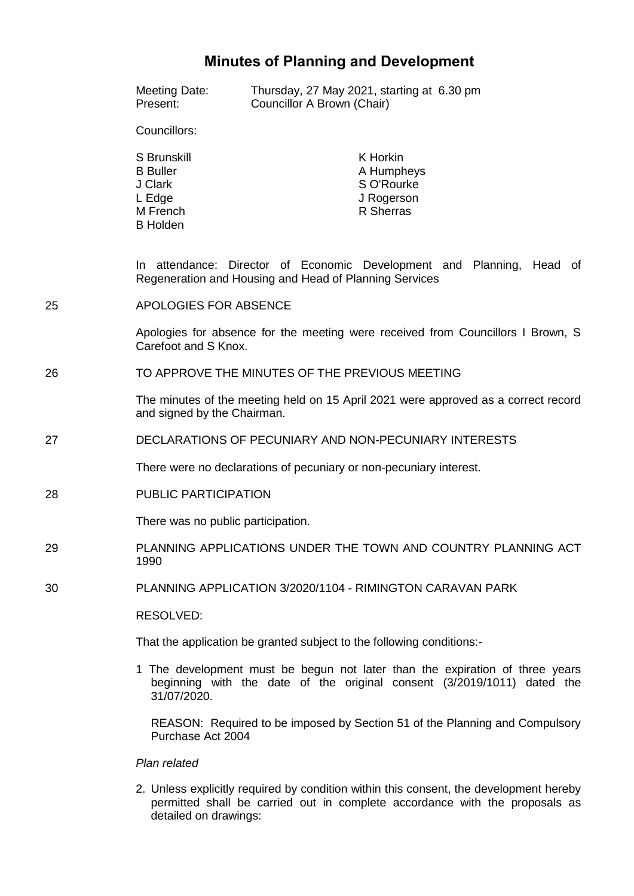# **Minutes of Planning and Development**

|    | <b>Meeting Date:</b><br>Present:                                                                                                | Thursday, 27 May 2021, starting at 6.30 pm<br>Councillor A Brown (Chair) |                                                                 |  |
|----|---------------------------------------------------------------------------------------------------------------------------------|--------------------------------------------------------------------------|-----------------------------------------------------------------|--|
|    | Councillors:                                                                                                                    |                                                                          |                                                                 |  |
|    | S Brunskill<br><b>B</b> Buller<br>J Clark<br>L Edge<br>M French<br><b>B</b> Holden                                              |                                                                          | K Horkin<br>A Humpheys<br>S O'Rourke<br>J Rogerson<br>R Sherras |  |
|    | In attendance: Director of Economic Development and Planning, Head of<br>Regeneration and Housing and Head of Planning Services |                                                                          |                                                                 |  |
| 25 | <b>APOLOGIES FOR ABSENCE</b>                                                                                                    |                                                                          |                                                                 |  |
|    | Apologies for absence for the meeting were received from Councillors I Brown, S<br>Carefoot and S Knox.                         |                                                                          |                                                                 |  |
| 26 | TO APPROVE THE MINUTES OF THE PREVIOUS MEETING                                                                                  |                                                                          |                                                                 |  |
|    | The minutes of the meeting held on 15 April 2021 were approved as a correct record<br>and signed by the Chairman.               |                                                                          |                                                                 |  |
| 27 | DECLARATIONS OF PECUNIARY AND NON-PECUNIARY INTERESTS                                                                           |                                                                          |                                                                 |  |
|    | There were no declarations of pecuniary or non-pecuniary interest.                                                              |                                                                          |                                                                 |  |
| 28 | PUBLIC PARTICIPATION                                                                                                            |                                                                          |                                                                 |  |
|    | There was no public participation.                                                                                              |                                                                          |                                                                 |  |
| 29 | PLANNING APPLICATIONS UNDER THE TOWN AND COUNTRY PLANNING ACT<br>1990                                                           |                                                                          |                                                                 |  |
| 30 | PLANNING APPLICATION 3/2020/1104 - RIMINGTON CARAVAN PARK                                                                       |                                                                          |                                                                 |  |
|    |                                                                                                                                 |                                                                          |                                                                 |  |

RESOLVED:

That the application be granted subject to the following conditions:-

1 The development must be begun not later than the expiration of three years beginning with the date of the original consent (3/2019/1011) dated the 31/07/2020.

REASON: Required to be imposed by Section 51 of the Planning and Compulsory Purchase Act 2004

### *Plan related*

2. Unless explicitly required by condition within this consent, the development hereby permitted shall be carried out in complete accordance with the proposals as detailed on drawings: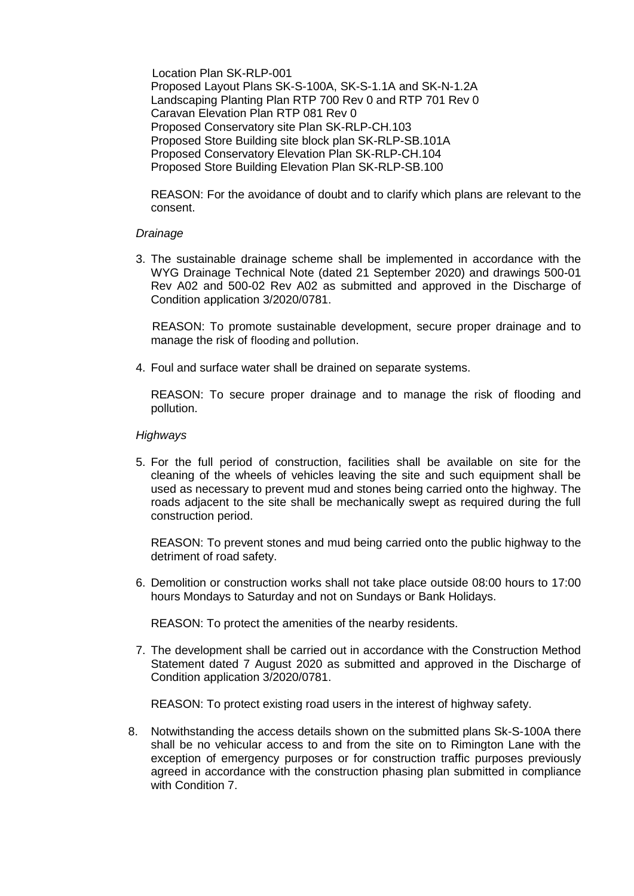Location Plan SK-RLP-001 Proposed Layout Plans SK-S-100A, SK-S-1.1A and SK-N-1.2A Landscaping Planting Plan RTP 700 Rev 0 and RTP 701 Rev 0 Caravan Elevation Plan RTP 081 Rev 0 Proposed Conservatory site Plan SK-RLP-CH.103 Proposed Store Building site block plan SK-RLP-SB.101A Proposed Conservatory Elevation Plan SK-RLP-CH.104 Proposed Store Building Elevation Plan SK-RLP-SB.100

REASON: For the avoidance of doubt and to clarify which plans are relevant to the consent.

### *Drainage*

3. The sustainable drainage scheme shall be implemented in accordance with the WYG Drainage Technical Note (dated 21 September 2020) and drawings 500-01 Rev A02 and 500-02 Rev A02 as submitted and approved in the Discharge of Condition application 3/2020/0781.

 REASON: To promote sustainable development, secure proper drainage and to manage the risk of flooding and pollution.

4. Foul and surface water shall be drained on separate systems.

REASON: To secure proper drainage and to manage the risk of flooding and pollution.

### *Highways*

5. For the full period of construction, facilities shall be available on site for the cleaning of the wheels of vehicles leaving the site and such equipment shall be used as necessary to prevent mud and stones being carried onto the highway. The roads adjacent to the site shall be mechanically swept as required during the full construction period.

REASON: To prevent stones and mud being carried onto the public highway to the detriment of road safety.

6. Demolition or construction works shall not take place outside 08:00 hours to 17:00 hours Mondays to Saturday and not on Sundays or Bank Holidays.

REASON: To protect the amenities of the nearby residents.

7. The development shall be carried out in accordance with the Construction Method Statement dated 7 August 2020 as submitted and approved in the Discharge of Condition application 3/2020/0781.

REASON: To protect existing road users in the interest of highway safety.

8. Notwithstanding the access details shown on the submitted plans Sk-S-100A there shall be no vehicular access to and from the site on to Rimington Lane with the exception of emergency purposes or for construction traffic purposes previously agreed in accordance with the construction phasing plan submitted in compliance with Condition 7.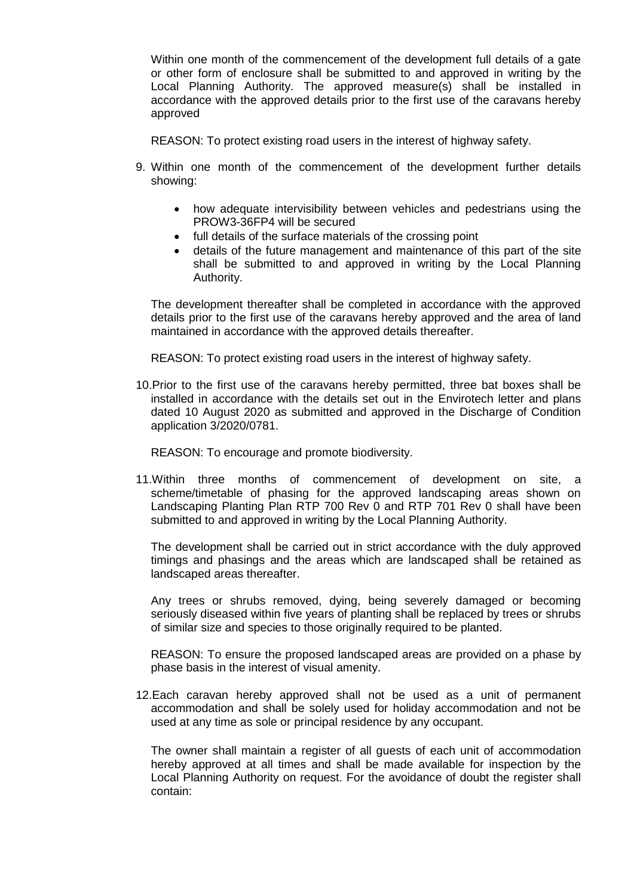Within one month of the commencement of the development full details of a gate or other form of enclosure shall be submitted to and approved in writing by the Local Planning Authority. The approved measure(s) shall be installed in accordance with the approved details prior to the first use of the caravans hereby approved

REASON: To protect existing road users in the interest of highway safety.

- 9. Within one month of the commencement of the development further details showing:
	- how adequate intervisibility between vehicles and pedestrians using the PROW3-36FP4 will be secured
	- full details of the surface materials of the crossing point
	- details of the future management and maintenance of this part of the site shall be submitted to and approved in writing by the Local Planning Authority.

The development thereafter shall be completed in accordance with the approved details prior to the first use of the caravans hereby approved and the area of land maintained in accordance with the approved details thereafter.

REASON: To protect existing road users in the interest of highway safety.

10.Prior to the first use of the caravans hereby permitted, three bat boxes shall be installed in accordance with the details set out in the Envirotech letter and plans dated 10 August 2020 as submitted and approved in the Discharge of Condition application 3/2020/0781.

REASON: To encourage and promote biodiversity.

11.Within three months of commencement of development on site, a scheme/timetable of phasing for the approved landscaping areas shown on Landscaping Planting Plan RTP 700 Rev 0 and RTP 701 Rev 0 shall have been submitted to and approved in writing by the Local Planning Authority.

The development shall be carried out in strict accordance with the duly approved timings and phasings and the areas which are landscaped shall be retained as landscaped areas thereafter.

Any trees or shrubs removed, dying, being severely damaged or becoming seriously diseased within five years of planting shall be replaced by trees or shrubs of similar size and species to those originally required to be planted.

REASON: To ensure the proposed landscaped areas are provided on a phase by phase basis in the interest of visual amenity.

12.Each caravan hereby approved shall not be used as a unit of permanent accommodation and shall be solely used for holiday accommodation and not be used at any time as sole or principal residence by any occupant.

The owner shall maintain a register of all guests of each unit of accommodation hereby approved at all times and shall be made available for inspection by the Local Planning Authority on request. For the avoidance of doubt the register shall contain: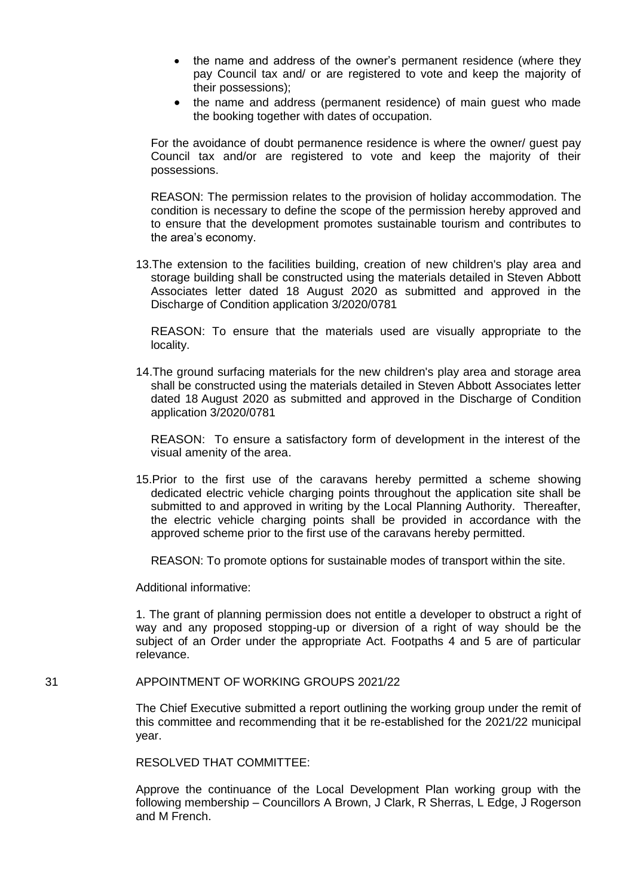- the name and address of the owner's permanent residence (where they pay Council tax and/ or are registered to vote and keep the majority of their possessions);
- the name and address (permanent residence) of main guest who made the booking together with dates of occupation.

For the avoidance of doubt permanence residence is where the owner/ guest pay Council tax and/or are registered to vote and keep the majority of their possessions.

REASON: The permission relates to the provision of holiday accommodation. The condition is necessary to define the scope of the permission hereby approved and to ensure that the development promotes sustainable tourism and contributes to the area's economy.

13.The extension to the facilities building, creation of new children's play area and storage building shall be constructed using the materials detailed in Steven Abbott Associates letter dated 18 August 2020 as submitted and approved in the Discharge of Condition application 3/2020/0781

REASON: To ensure that the materials used are visually appropriate to the locality.

14.The ground surfacing materials for the new children's play area and storage area shall be constructed using the materials detailed in Steven Abbott Associates letter dated 18 August 2020 as submitted and approved in the Discharge of Condition application 3/2020/0781

REASON: To ensure a satisfactory form of development in the interest of the visual amenity of the area.

15.Prior to the first use of the caravans hereby permitted a scheme showing dedicated electric vehicle charging points throughout the application site shall be submitted to and approved in writing by the Local Planning Authority. Thereafter, the electric vehicle charging points shall be provided in accordance with the approved scheme prior to the first use of the caravans hereby permitted.

REASON: To promote options for sustainable modes of transport within the site.

Additional informative:

1. The grant of planning permission does not entitle a developer to obstruct a right of way and any proposed stopping-up or diversion of a right of way should be the subject of an Order under the appropriate Act. Footpaths 4 and 5 are of particular relevance.

### 31 APPOINTMENT OF WORKING GROUPS 2021/22

The Chief Executive submitted a report outlining the working group under the remit of this committee and recommending that it be re-established for the 2021/22 municipal year.

RESOLVED THAT COMMITTEE:

Approve the continuance of the Local Development Plan working group with the following membership – Councillors A Brown, J Clark, R Sherras, L Edge, J Rogerson and M French.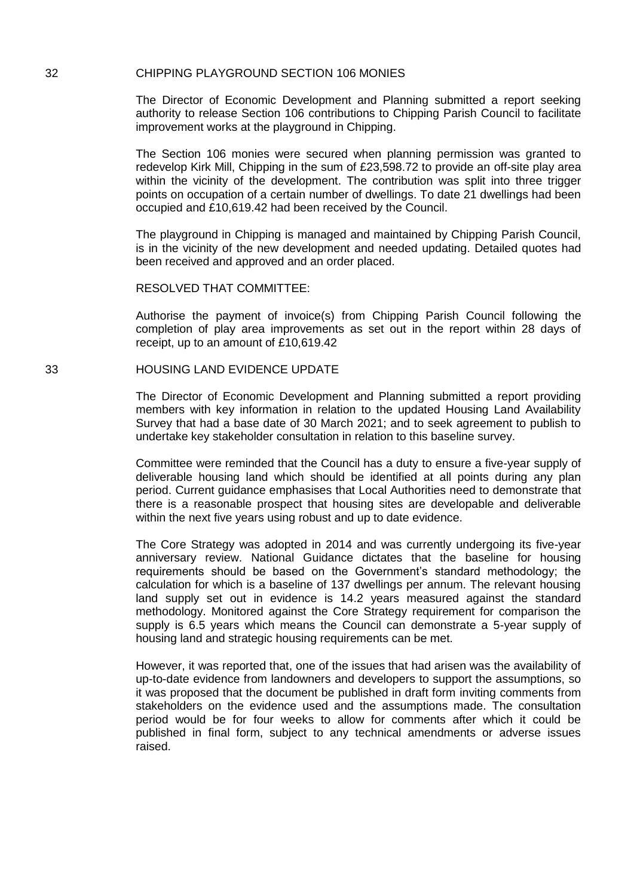#### 32 CHIPPING PLAYGROUND SECTION 106 MONIES

The Director of Economic Development and Planning submitted a report seeking authority to release Section 106 contributions to Chipping Parish Council to facilitate improvement works at the playground in Chipping.

The Section 106 monies were secured when planning permission was granted to redevelop Kirk Mill, Chipping in the sum of £23,598.72 to provide an off-site play area within the vicinity of the development. The contribution was split into three trigger points on occupation of a certain number of dwellings. To date 21 dwellings had been occupied and £10,619.42 had been received by the Council.

The playground in Chipping is managed and maintained by Chipping Parish Council, is in the vicinity of the new development and needed updating. Detailed quotes had been received and approved and an order placed.

### RESOLVED THAT COMMITTEE:

Authorise the payment of invoice(s) from Chipping Parish Council following the completion of play area improvements as set out in the report within 28 days of receipt, up to an amount of £10,619.42

### 33 HOUSING LAND EVIDENCE UPDATE

The Director of Economic Development and Planning submitted a report providing members with key information in relation to the updated Housing Land Availability Survey that had a base date of 30 March 2021; and to seek agreement to publish to undertake key stakeholder consultation in relation to this baseline survey.

Committee were reminded that the Council has a duty to ensure a five-year supply of deliverable housing land which should be identified at all points during any plan period. Current guidance emphasises that Local Authorities need to demonstrate that there is a reasonable prospect that housing sites are developable and deliverable within the next five years using robust and up to date evidence.

The Core Strategy was adopted in 2014 and was currently undergoing its five-year anniversary review. National Guidance dictates that the baseline for housing requirements should be based on the Government's standard methodology; the calculation for which is a baseline of 137 dwellings per annum. The relevant housing land supply set out in evidence is 14.2 years measured against the standard methodology. Monitored against the Core Strategy requirement for comparison the supply is 6.5 years which means the Council can demonstrate a 5-year supply of housing land and strategic housing requirements can be met.

However, it was reported that, one of the issues that had arisen was the availability of up-to-date evidence from landowners and developers to support the assumptions, so it was proposed that the document be published in draft form inviting comments from stakeholders on the evidence used and the assumptions made. The consultation period would be for four weeks to allow for comments after which it could be published in final form, subject to any technical amendments or adverse issues raised.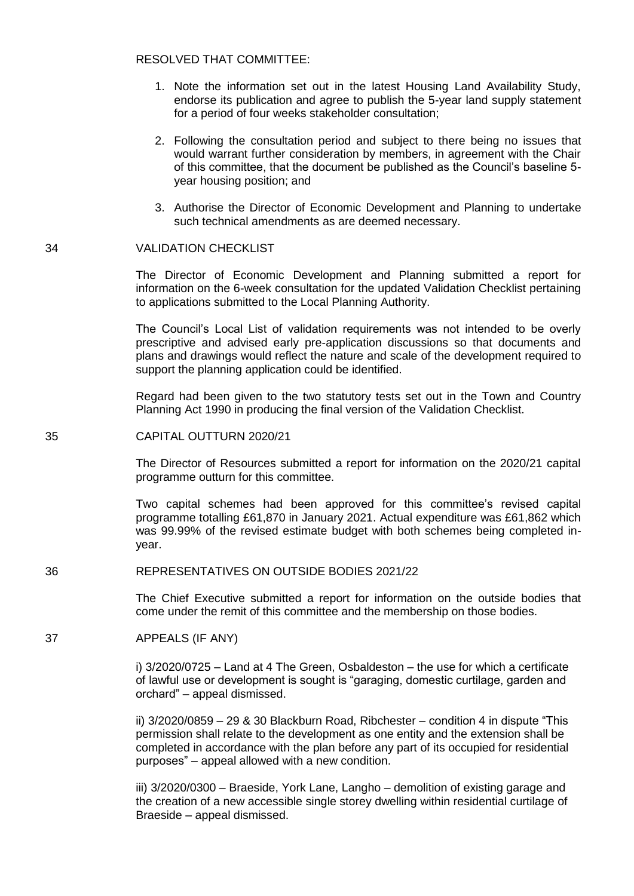### RESOLVED THAT COMMITTEE:

- 1. Note the information set out in the latest Housing Land Availability Study, endorse its publication and agree to publish the 5-year land supply statement for a period of four weeks stakeholder consultation;
- 2. Following the consultation period and subject to there being no issues that would warrant further consideration by members, in agreement with the Chair of this committee, that the document be published as the Council's baseline 5 year housing position; and
- 3. Authorise the Director of Economic Development and Planning to undertake such technical amendments as are deemed necessary.

### 34 VALIDATION CHECKLIST

The Director of Economic Development and Planning submitted a report for information on the 6-week consultation for the updated Validation Checklist pertaining to applications submitted to the Local Planning Authority.

The Council's Local List of validation requirements was not intended to be overly prescriptive and advised early pre-application discussions so that documents and plans and drawings would reflect the nature and scale of the development required to support the planning application could be identified.

Regard had been given to the two statutory tests set out in the Town and Country Planning Act 1990 in producing the final version of the Validation Checklist.

### 35 CAPITAL OUTTURN 2020/21

The Director of Resources submitted a report for information on the 2020/21 capital programme outturn for this committee.

Two capital schemes had been approved for this committee's revised capital programme totalling £61,870 in January 2021. Actual expenditure was £61,862 which was 99.99% of the revised estimate budget with both schemes being completed inyear.

#### 36 REPRESENTATIVES ON OUTSIDE BODIES 2021/22

The Chief Executive submitted a report for information on the outside bodies that come under the remit of this committee and the membership on those bodies.

### 37 APPEALS (IF ANY)

i) 3/2020/0725 – Land at 4 The Green, Osbaldeston – the use for which a certificate of lawful use or development is sought is "garaging, domestic curtilage, garden and orchard" – appeal dismissed.

ii) 3/2020/0859 – 29 & 30 Blackburn Road, Ribchester – condition 4 in dispute "This permission shall relate to the development as one entity and the extension shall be completed in accordance with the plan before any part of its occupied for residential purposes" – appeal allowed with a new condition.

iii) 3/2020/0300 – Braeside, York Lane, Langho – demolition of existing garage and the creation of a new accessible single storey dwelling within residential curtilage of Braeside – appeal dismissed.